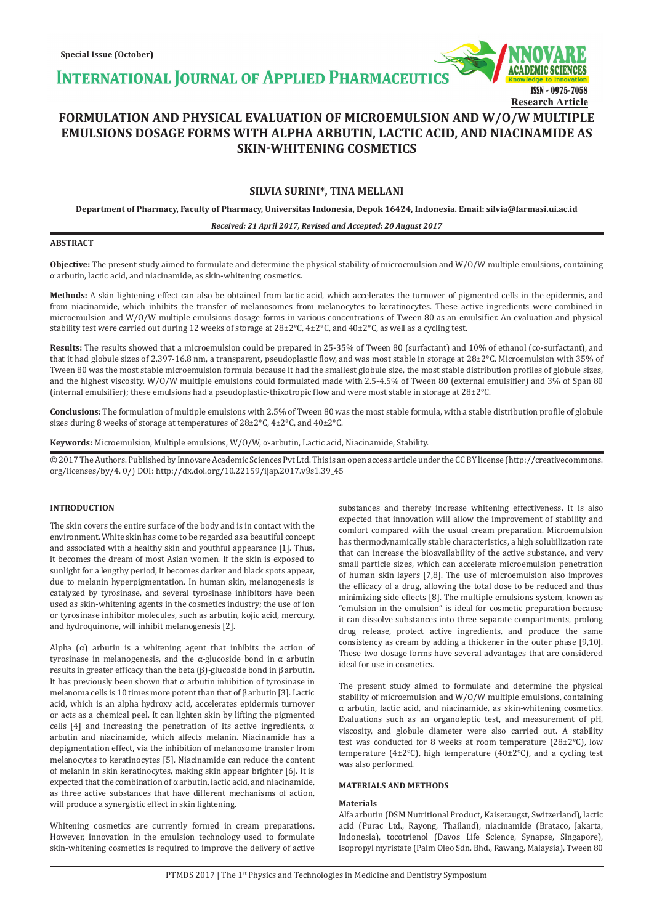**INTERNATIONAL JOURNAL OF APPLIED PHARMACEUTIC** 

# **FORMULATION AND PHYSICAL EVALUATION OF MICROEMULSION AND W/O/W MULTIPLE EMULSIONS DOSAGE FORMS WITH ALPHA ARBUTIN, LACTIC ACID, AND NIACINAMIDE AS SKIN-WHITENING COSMETICS**

# **SILVIA SURINI\*, TINA MELLANI**

**Department of Pharmacy, Faculty of Pharmacy, Universitas Indonesia, Depok 16424, Indonesia. Email: silvia@farmasi.ui.ac.id**

*Received: 21 April 2017, Revised and Accepted: 20 August 2017*

#### **ABSTRACT**

**Objective:** The present study aimed to formulate and determine the physical stability of microemulsion and W/O/W multiple emulsions, containing α arbutin, lactic acid, and niacinamide, as skin-whitening cosmetics.

**Methods:** A skin lightening effect can also be obtained from lactic acid, which accelerates the turnover of pigmented cells in the epidermis, and from niacinamide, which inhibits the transfer of melanosomes from melanocytes to keratinocytes. These active ingredients were combined in microemulsion and W/O/W multiple emulsions dosage forms in various concentrations of Tween 80 as an emulsifier. An evaluation and physical stability test were carried out during 12 weeks of storage at  $28\pm2\degree$ C,  $4\pm2\degree$ C, and  $40\pm2\degree$ C, as well as a cycling test.

**Results:** The results showed that a microemulsion could be prepared in 25-35% of Tween 80 (surfactant) and 10% of ethanol (co-surfactant), and that it had globule sizes of 2.397-16.8 nm, a transparent, pseudoplastic flow, and was most stable in storage at 28±2°C. Microemulsion with 35% of Tween 80 was the most stable microemulsion formula because it had the smallest globule size, the most stable distribution profiles of globule sizes, and the highest viscosity. W/O/W multiple emulsions could formulated made with 2.5-4.5% of Tween 80 (external emulsifier) and 3% of Span 80 (internal emulsifier); these emulsions had a pseudoplastic-thixotropic flow and were most stable in storage at 28±2°C.

**Conclusions:** The formulation of multiple emulsions with 2.5% of Tween 80 was the most stable formula, with a stable distribution profile of globule sizes during 8 weeks of storage at temperatures of 28±2°C, 4±2°C, and 40±2°C.

**Keywords:** Microemulsion, Multiple emulsions, W/O/W, α-arbutin, Lactic acid, Niacinamide, Stability.

© 2017 The Authors. Published by Innovare Academic Sciences Pvt Ltd. This is an open access article under the CC BY license (http://creativecommons. org/licenses/by/4. 0/) DOI: http://dx.doi.org/10.22159/ijap.2017.v9s1.39\_45

## **INTRODUCTION**

The skin covers the entire surface of the body and is in contact with the environment. White skin has come to be regarded as a beautiful concept and associated with a healthy skin and youthful appearance [1]. Thus, it becomes the dream of most Asian women. If the skin is exposed to sunlight for a lengthy period, it becomes darker and black spots appear, due to melanin hyperpigmentation. In human skin, melanogenesis is catalyzed by tyrosinase, and several tyrosinase inhibitors have been used as skin-whitening agents in the cosmetics industry; the use of ion or tyrosinase inhibitor molecules, such as arbutin, kojic acid, mercury, and hydroquinone, will inhibit melanogenesis [2].

Alpha  $(\alpha)$  arbutin is a whitening agent that inhibits the action of tyrosinase in melanogenesis, and the α-glucoside bond in α arbutin results in greater efficacy than the beta (β)-glucoside bond in β arbutin. It has previously been shown that  $\alpha$  arbutin inhibition of tyrosinase in melanoma cells is 10 times more potent than that of β arbutin [3]. Lactic acid, which is an alpha hydroxy acid, accelerates epidermis turnover or acts as a chemical peel. It can lighten skin by lifting the pigmented cells [4] and increasing the penetration of its active ingredients,  $\alpha$ arbutin and niacinamide, which affects melanin. Niacinamide has a depigmentation effect, via the inhibition of melanosome transfer from melanocytes to keratinocytes [5]. Niacinamide can reduce the content of melanin in skin keratinocytes, making skin appear brighter [6]. It is expected that the combination of α arbutin, lactic acid, and niacinamide, as three active substances that have different mechanisms of action, will produce a synergistic effect in skin lightening.

Whitening cosmetics are currently formed in cream preparations. However, innovation in the emulsion technology used to formulate skin-whitening cosmetics is required to improve the delivery of active substances and thereby increase whitening effectiveness. It is also expected that innovation will allow the improvement of stability and comfort compared with the usual cream preparation. Microemulsion has thermodynamically stable characteristics, a high solubilization rate that can increase the bioavailability of the active substance, and very small particle sizes, which can accelerate microemulsion penetration of human skin layers [7,8]. The use of microemulsion also improves the efficacy of a drug, allowing the total dose to be reduced and thus minimizing side effects [8]. The multiple emulsions system, known as "emulsion in the emulsion" is ideal for cosmetic preparation because it can dissolve substances into three separate compartments, prolong drug release, protect active ingredients, and produce the same consistency as cream by adding a thickener in the outer phase [9,10]. These two dosage forms have several advantages that are considered ideal for use in cosmetics.

ISSN - 0975-7058

**Research Article**

The present study aimed to formulate and determine the physical stability of microemulsion and W/O/W multiple emulsions, containing α arbutin, lactic acid, and niacinamide, as skin-whitening cosmetics. Evaluations such as an organoleptic test, and measurement of pH, viscosity, and globule diameter were also carried out. A stability test was conducted for 8 weeks at room temperature (28±2°C), low temperature (4 $\pm$ 2°C), high temperature (40 $\pm$ 2°C), and a cycling test was also performed.

# **MATERIALS AND METHODS**

#### **Materials**

Alfa arbutin (DSM Nutritional Product, Kaiseraugst, Switzerland), lactic acid (Purac Ltd., Rayong, Thailand), niacinamide (Brataco, Jakarta, Indonesia), tocotrienol (Davos Life Science, Synapse, Singapore), isopropyl myristate (Palm Oleo Sdn. Bhd., Rawang, Malaysia), Tween 80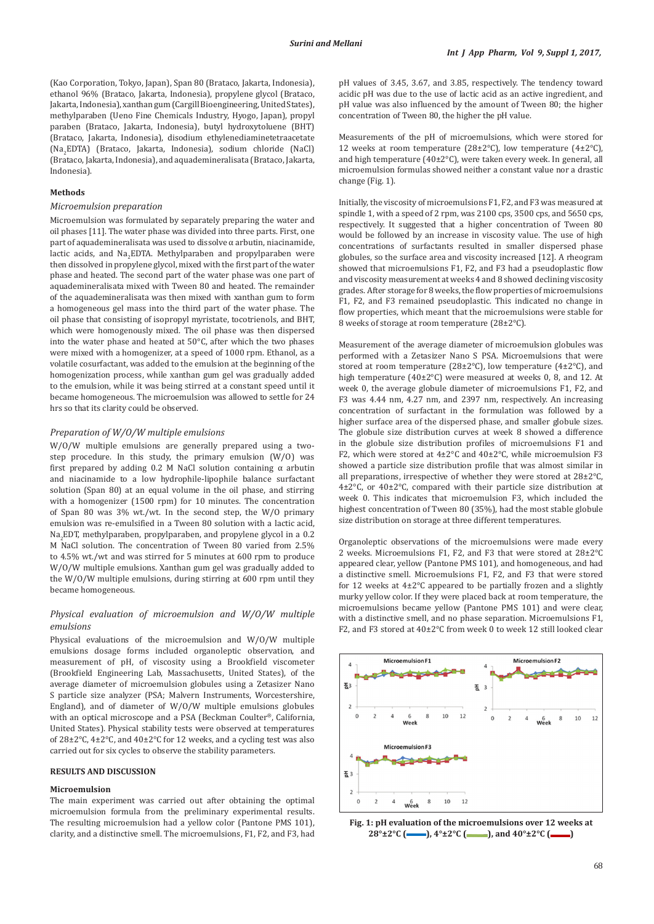(Kao Corporation, Tokyo, Japan), Span 80 (Brataco, Jakarta, Indonesia), ethanol 96% (Brataco, Jakarta, Indonesia), propylene glycol (Brataco, Jakarta, Indonesia), xanthan gum (Cargill Bioengineering, United States), methylparaben (Ueno Fine Chemicals Industry, Hyogo, Japan), propyl paraben (Brataco, Jakarta, Indonesia), butyl hydroxytoluene (BHT) (Brataco, Jakarta, Indonesia), disodium ethylenediaminetetraacetate (Na<sub>2</sub>EDTA) (Brataco, Jakarta, Indonesia), sodium chloride (NaCl) (Brataco, Jakarta, Indonesia), and aquademineralisata (Brataco, Jakarta, Indonesia).

#### **Methods**

#### *Microemulsion preparation*

Microemulsion was formulated by separately preparing the water and oil phases [11]. The water phase was divided into three parts. First, one part of aquademineralisata was used to dissolve α arbutin, niacinamide, lactic acids, and  $Na<sub>2</sub>EDTA$ . Methylparaben and propylparaben were then dissolved in propylene glycol, mixed with the first part of the water phase and heated. The second part of the water phase was one part of aquademineralisata mixed with Tween 80 and heated. The remainder of the aquademineralisata was then mixed with xanthan gum to form a homogeneous gel mass into the third part of the water phase. The oil phase that consisting of isopropyl myristate, tocotrienols, and BHT, which were homogenously mixed. The oil phase was then dispersed into the water phase and heated at 50°C, after which the two phases were mixed with a homogenizer, at a speed of 1000 rpm. Ethanol, as a volatile cosurfactant, was added to the emulsion at the beginning of the homogenization process, while xanthan gum gel was gradually added to the emulsion, while it was being stirred at a constant speed until it became homogeneous. The microemulsion was allowed to settle for 24 hrs so that its clarity could be observed.

#### *Preparation of W/O/W multiple emulsions*

W/O/W multiple emulsions are generally prepared using a twostep procedure. In this study, the primary emulsion (W/O) was first prepared by adding 0.2 M NaCl solution containing  $\alpha$  arbutin and niacinamide to a low hydrophile-lipophile balance surfactant solution (Span 80) at an equal volume in the oil phase, and stirring with a homogenizer (1500 rpm) for 10 minutes. The concentration of Span 80 was 3% wt./wt. In the second step, the W/O primary emulsion was re-emulsified in a Tween 80 solution with a lactic acid, Na<sub>2</sub>EDT, methylparaben, propylparaben, and propylene glycol in a 0.2 M NaCl solution. The concentration of Tween 80 varied from 2.5% to 4.5% wt./wt and was stirred for 5 minutes at 600 rpm to produce W/O/W multiple emulsions. Xanthan gum gel was gradually added to the W/O/W multiple emulsions, during stirring at 600 rpm until they became homogeneous.

# *Physical evaluation of microemulsion and W/O/W multiple emulsions*

Physical evaluations of the microemulsion and W/O/W multiple emulsions dosage forms included organoleptic observation, and measurement of pH, of viscosity using a Brookfield viscometer (Brookfield Engineering Lab, Massachusetts, United States), of the average diameter of microemulsion globules using a Zetasizer Nano S particle size analyzer (PSA; Malvern Instruments, Worcestershire, England), and of diameter of W/O/W multiple emulsions globules with an optical microscope and a PSA (Beckman Coulter®, California, United States). Physical stability tests were observed at temperatures of 28±2°C, 4±2°C, and 40±2°C for 12 weeks, and a cycling test was also carried out for six cycles to observe the stability parameters.

# **RESULTS AND DISCUSSION**

#### **Microemulsion**

The main experiment was carried out after obtaining the optimal microemulsion formula from the preliminary experimental results. The resulting microemulsion had a yellow color (Pantone PMS 101), clarity, and a distinctive smell. The microemulsions, F1, F2, and F3, had pH values of 3.45, 3.67, and 3.85, respectively. The tendency toward acidic pH was due to the use of lactic acid as an active ingredient, and pH value was also influenced by the amount of Tween 80; the higher concentration of Tween 80, the higher the pH value.

Measurements of the pH of microemulsions, which were stored for 12 weeks at room temperature (28±2 $^{\circ}$ C), low temperature (4±2 $^{\circ}$ C), and high temperature (40±2°C), were taken every week. In general, all microemulsion formulas showed neither a constant value nor a drastic change (Fig. 1).

Initially, the viscosity of microemulsions F1, F2, and F3 was measured at spindle 1, with a speed of 2 rpm, was 2100 cps, 3500 cps, and 5650 cps, respectively. It suggested that a higher concentration of Tween 80 would be followed by an increase in viscosity value. The use of high concentrations of surfactants resulted in smaller dispersed phase globules, so the surface area and viscosity increased [12]. A rheogram showed that microemulsions F1, F2, and F3 had a pseudoplastic flow and viscosity measurement at weeks 4 and 8 showed declining viscosity grades. After storage for 8 weeks, the flow properties of microemulsions F1, F2, and F3 remained pseudoplastic. This indicated no change in flow properties, which meant that the microemulsions were stable for 8 weeks of storage at room temperature (28±2°C).

Measurement of the average diameter of microemulsion globules was performed with a Zetasizer Nano S PSA. Microemulsions that were stored at room temperature (28±2°C), low temperature (4±2°C), and high temperature (40±2°C) were measured at weeks 0, 8, and 12. At week 0, the average globule diameter of microemulsions F1, F2, and F3 was 4.44 nm, 4.27 nm, and 2397 nm, respectively. An increasing concentration of surfactant in the formulation was followed by a higher surface area of the dispersed phase, and smaller globule sizes. The globule size distribution curves at week 8 showed a difference in the globule size distribution profiles of microemulsions F1 and F2, which were stored at 4±2°C and 40±2°C, while microemulsion F3 showed a particle size distribution profile that was almost similar in all preparations, irrespective of whether they were stored at 28±2°C, 4±2°C, or 40±2°C, compared with their particle size distribution at week 0. This indicates that microemulsion F3, which included the highest concentration of Tween 80 (35%), had the most stable globule size distribution on storage at three different temperatures.

Organoleptic observations of the microemulsions were made every 2 weeks. Microemulsions F1, F2, and F3 that were stored at 28±2°C appeared clear, yellow (Pantone PMS 101), and homogeneous, and had a distinctive smell. Microemulsions F1, F2, and F3 that were stored for 12 weeks at  $4\pm2^{\circ}$ C appeared to be partially frozen and a slightly murky yellow color. If they were placed back at room temperature, the microemulsions became yellow (Pantone PMS 101) and were clear, with a distinctive smell, and no phase separation. Microemulsions F1, F2, and F3 stored at 40±2°C from week 0 to week 12 still looked clear



**Fig. 1: pH evaluation of the microemulsions over 12 weeks at**  28°±2°C (**──)**, 4°±2°C (**■**), and 40°±2°C (**■**